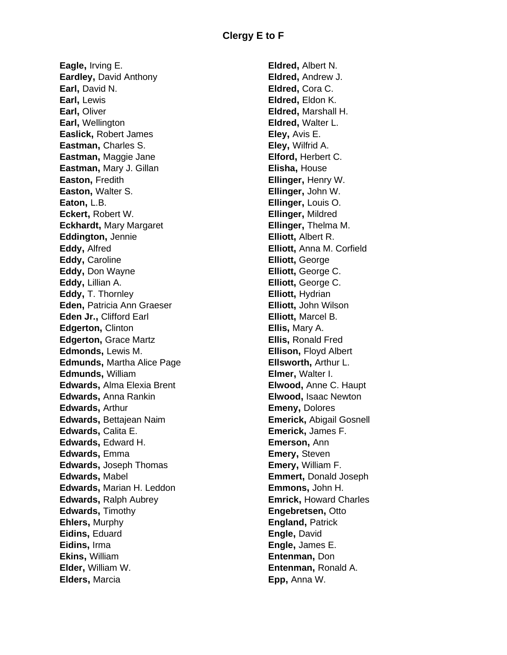**Eagle,** Irving E. **Eardley,** David Anthony **Earl,** David N. **Earl,** Lewis **Earl,** Oliver **Earl,** Wellington **Easlick,** Robert James **Eastman,** Charles S. **Eastman,** Maggie Jane **Eastman,** Mary J. Gillan **Easton,** Fredith **Easton,** Walter S. **Eaton,** L.B. **Eckert,** Robert W. **Eckhardt,** Mary Margaret **Eddington,** Jennie **Eddy,** Alfred **Eddy,** Caroline **Eddy,** Don Wayne **Eddy,** Lillian A. **Eddy,** T. Thornley **Eden,** Patricia Ann Graeser **Eden Jr.,** Clifford Earl **Edgerton,** Clinton **Edgerton, Grace Martz Edmonds,** Lewis M. **Edmunds,** Martha Alice Page **Edmunds,** William **Edwards,** Alma Elexia Brent **Edwards,** Anna Rankin **Edwards,** Arthur **Edwards,** Bettajean Naim **Edwards,** Calita E. **Edwards,** Edward H. **Edwards,** Emma **Edwards,** Joseph Thomas **Edwards,** Mabel **Edwards,** Marian H. Leddon **Edwards,** Ralph Aubrey **Edwards,** Timothy **Ehlers,** Murphy **Eidins,** Eduard **Eidins,** Irma **Ekins,** William **Elder,** William W. **Elders,** Marcia

**Eldred,** Albert N. **Eldred,** Andrew J. **Eldred,** Cora C. **Eldred,** Eldon K. **Eldred,** Marshall H. **Eldred,** Walter L. **Eley,** Avis E. **Eley,** Wilfrid A. **Elford,** Herbert C. **Elisha,** House **Ellinger,** Henry W. **Ellinger,** John W. **Ellinger,** Louis O. **Ellinger,** Mildred **Ellinger,** Thelma M. **Elliott,** Albert R. **Elliott,** Anna M. Corfield **Elliott,** George **Elliott,** George C. **Elliott,** George C. **Elliott,** Hydrian **Elliott,** John Wilson **Elliott,** Marcel B. **Ellis,** Mary A. **Ellis,** Ronald Fred **Ellison,** Floyd Albert **Ellsworth,** Arthur L. **Elmer,** Walter I. **Elwood,** Anne C. Haupt **Elwood,** Isaac Newton **Emeny,** Dolores **Emerick,** Abigail Gosnell **Emerick,** James F. **Emerson,** Ann **Emery,** Steven **Emery,** William F. **Emmert,** Donald Joseph **Emmons,** John H. **Emrick,** Howard Charles **Engebretsen,** Otto **England,** Patrick **Engle,** David **Engle,** James E. **Entenman,** Don **Entenman,** Ronald A. **Epp,** Anna W.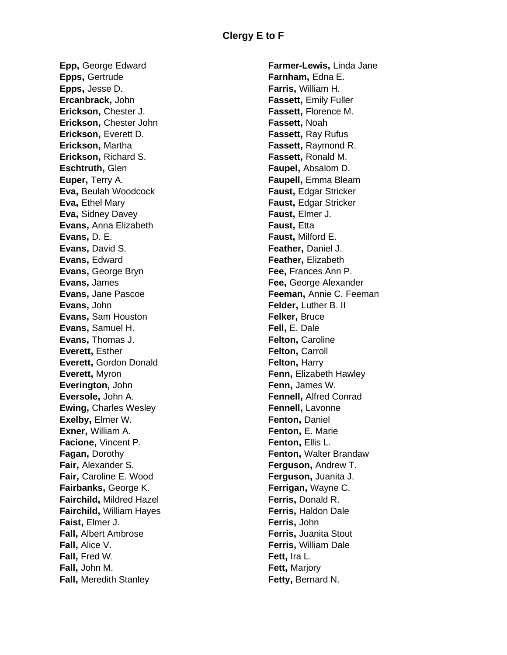**Epp,** George Edward **Epps,** Gertrude **Epps,** Jesse D. **Ercanbrack,** John **Erickson,** Chester J. **Erickson,** Chester John **Erickson,** Everett D. **Erickson,** Martha **Erickson,** Richard S. **Eschtruth,** Glen **Euper,** Terry A. **Eva,** Beulah Woodcock **Eva, Ethel Mary Eva,** Sidney Davey **Evans,** Anna Elizabeth **Evans,** D. E. **Evans,** David S. **Evans,** Edward **Evans,** George Bryn **Evans,** James **Evans,** Jane Pascoe **Evans,** John **Evans,** Sam Houston **Evans,** Samuel H. **Evans,** Thomas J. **Everett,** Esther **Everett,** Gordon Donald **Everett,** Myron **Everington,** John **Eversole,** John A. **Ewing,** Charles Wesley **Exelby,** Elmer W. **Exner,** William A. **Facione,** Vincent P. **Fagan,** Dorothy **Fair,** Alexander S. **Fair,** Caroline E. Wood **Fairbanks,** George K. **Fairchild,** Mildred Hazel **Fairchild,** William Hayes **Faist,** Elmer J. **Fall,** Albert Ambrose **Fall,** Alice V. **Fall,** Fred W. **Fall,** John M. **Fall,** Meredith Stanley

**Farmer-Lewis,** Linda Jane **Farnham,** Edna E. **Farris,** William H. **Fassett,** Emily Fuller **Fassett,** Florence M. **Fassett,** Noah **Fassett,** Ray Rufus **Fassett,** Raymond R. **Fassett,** Ronald M. **Faupel,** Absalom D. **Faupell,** Emma Bleam **Faust,** Edgar Stricker **Faust,** Edgar Stricker **Faust,** Elmer J. **Faust,** Etta **Faust,** Milford E. **Feather,** Daniel J. **Feather,** Elizabeth **Fee,** Frances Ann P. **Fee,** George Alexander **Feeman,** Annie C. Feeman **Felder, Luther B. II Felker,** Bruce **Fell,** E. Dale **Felton,** Caroline **Felton,** Carroll **Felton, Harry Fenn,** Elizabeth Hawley **Fenn,** James W. **Fennell,** Alfred Conrad **Fennell,** Lavonne **Fenton,** Daniel **Fenton,** E. Marie **Fenton,** Ellis L. **Fenton,** Walter Brandaw **Ferguson,** Andrew T. **Ferguson,** Juanita J. **Ferrigan,** Wayne C. **Ferris,** Donald R. **Ferris,** Haldon Dale **Ferris,** John **Ferris,** Juanita Stout **Ferris,** William Dale **Fett,** Ira L. **Fett,** Marjory **Fetty,** Bernard N.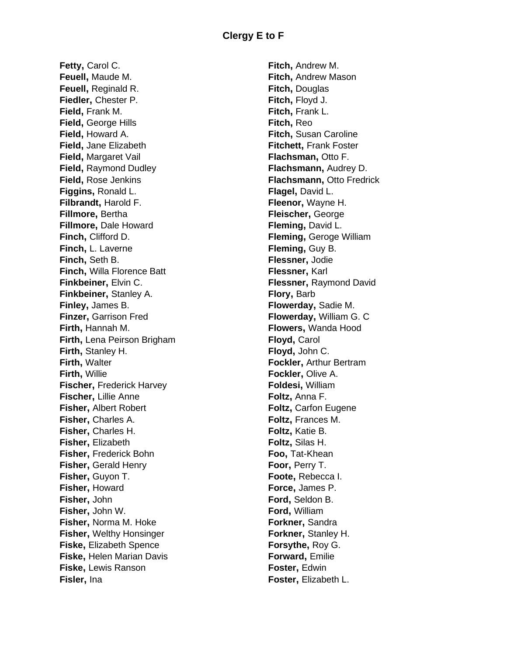**Fetty, Carol C. Feuell,** Maude M. **Feuell,** Reginald R. **Fiedler,** Chester P. **Field,** Frank M. **Field,** George Hills **Field,** Howard A. **Field,** Jane Elizabeth **Field,** Margaret Vail **Field,** Raymond Dudley **Field,** Rose Jenkins **Figgins,** Ronald L. **Filbrandt,** Harold F. **Fillmore,** Bertha **Fillmore,** Dale Howard **Finch,** Clifford D. **Finch,** L. Laverne **Finch,** Seth B. **Finch,** Willa Florence Batt **Finkbeiner,** Elvin C. **Finkbeiner,** Stanley A. **Finley,** James B. **Finzer,** Garrison Fred **Firth,** Hannah M. **Firth,** Lena Peirson Brigham **Firth,** Stanley H. **Firth,** Walter **Firth,** Willie **Fischer, Frederick Harvey Fischer,** Lillie Anne **Fisher,** Albert Robert **Fisher,** Charles A. **Fisher,** Charles H. **Fisher,** Elizabeth **Fisher,** Frederick Bohn **Fisher,** Gerald Henry **Fisher,** Guyon T. **Fisher,** Howard **Fisher,** John **Fisher,** John W. **Fisher,** Norma M. Hoke **Fisher,** Welthy Honsinger **Fiske,** Elizabeth Spence **Fiske,** Helen Marian Davis **Fiske,** Lewis Ranson **Fisler,** Ina

**Fitch,** Andrew M. **Fitch,** Andrew Mason **Fitch,** Douglas **Fitch,** Floyd J. **Fitch,** Frank L. **Fitch,** Reo **Fitch,** Susan Caroline **Fitchett,** Frank Foster **Flachsman,** Otto F. **Flachsmann,** Audrey D. **Flachsmann,** Otto Fredrick **Flagel,** David L. **Fleenor,** Wayne H. **Fleischer,** George **Fleming,** David L. **Fleming,** Geroge William **Fleming,** Guy B. **Flessner,** Jodie **Flessner,** Karl **Flessner,** Raymond David **Flory,** Barb **Flowerday,** Sadie M. **Flowerday,** William G. C **Flowers,** Wanda Hood **Floyd,** Carol **Floyd,** John C. **Fockler,** Arthur Bertram **Fockler,** Olive A. **Foldesi,** William **Foltz,** Anna F. **Foltz,** Carfon Eugene **Foltz,** Frances M. **Foltz,** Katie B. **Foltz,** Silas H. **Foo,** Tat-Khean **Foor,** Perry T. **Foote,** Rebecca I. **Force,** James P. **Ford,** Seldon B. **Ford,** William **Forkner,** Sandra **Forkner,** Stanley H. **Forsythe,** Roy G. **Forward,** Emilie **Foster,** Edwin **Foster,** Elizabeth L.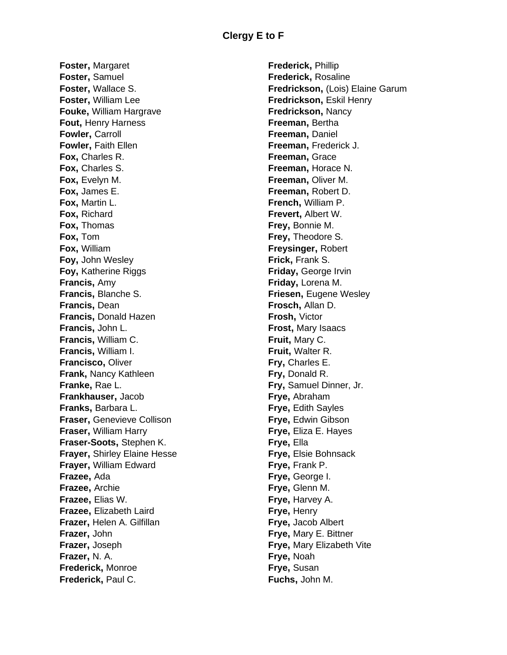**Foster,** Margaret **Foster,** Samuel **Foster,** Wallace S. **Foster,** William Lee **Fouke,** William Hargrave **Fout,** Henry Harness **Fowler,** Carroll **Fowler, Faith Ellen Fox,** Charles R. **Fox,** Charles S. **Fox,** Evelyn M. **Fox,** James E. **Fox,** Martin L. **Fox,** Richard **Fox,** Thomas **Fox,** Tom **Fox,** William **Foy,** John Wesley **Foy,** Katherine Riggs **Francis,** Amy **Francis,** Blanche S. **Francis,** Dean **Francis,** Donald Hazen **Francis,** John L. **Francis,** William C. **Francis,** William I. **Francisco,** Oliver **Frank,** Nancy Kathleen **Franke,** Rae L. **Frankhauser,** Jacob **Franks,** Barbara L. **Fraser,** Genevieve Collison **Fraser,** William Harry **Fraser-Soots,** Stephen K. **Frayer,** Shirley Elaine Hesse **Frayer,** William Edward **Frazee,** Ada **Frazee,** Archie **Frazee,** Elias W. **Frazee,** Elizabeth Laird **Frazer,** Helen A. Gilfillan **Frazer,** John **Frazer,** Joseph **Frazer,** N. A. **Frederick,** Monroe **Frederick,** Paul C.

**Frederick,** Phillip **Frederick,** Rosaline **Fredrickson,** (Lois) Elaine Garum **Fredrickson,** Eskil Henry **Fredrickson,** Nancy **Freeman,** Bertha **Freeman,** Daniel **Freeman,** Frederick J. **Freeman,** Grace **Freeman,** Horace N. **Freeman,** Oliver M. **Freeman,** Robert D. **French,** William P. **Frevert,** Albert W. **Frey,** Bonnie M. **Frey,** Theodore S. **Freysinger,** Robert **Frick,** Frank S. **Friday,** George Irvin **Friday,** Lorena M. **Friesen, Eugene Wesley Frosch,** Allan D. **Frosh,** Victor **Frost,** Mary Isaacs **Fruit,** Mary C. **Fruit,** Walter R. **Fry,** Charles E. **Fry,** Donald R. **Fry,** Samuel Dinner, Jr. **Frye,** Abraham **Frye,** Edith Sayles **Frye,** Edwin Gibson **Frye,** Eliza E. Hayes **Frye,** Ella **Frye,** Elsie Bohnsack **Frye,** Frank P. **Frye,** George I. **Frye,** Glenn M. **Frye,** Harvey A. **Frye,** Henry **Frye,** Jacob Albert **Frye,** Mary E. Bittner **Frye,** Mary Elizabeth Vite **Frye,** Noah **Frye,** Susan **Fuchs,** John M.